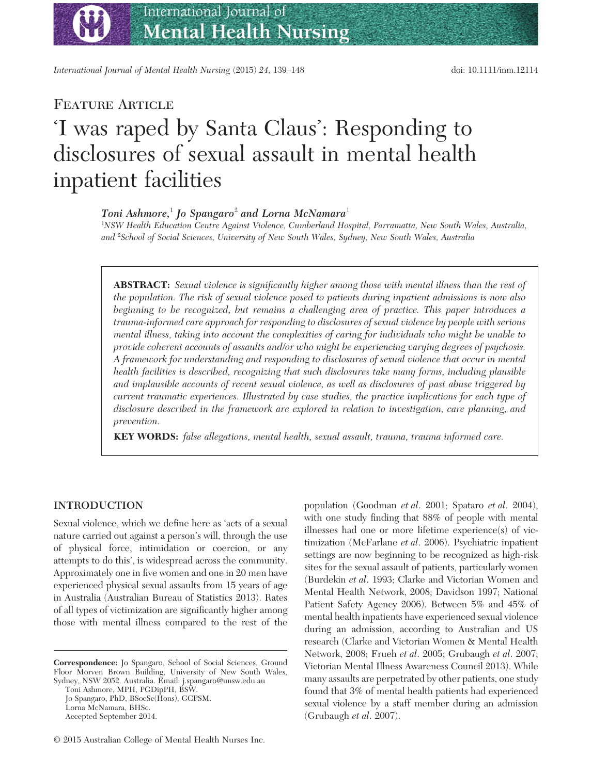*International Journal of Mental Health Nursing* (2015) *24*, 139–148 doi: 10.1111/inm.12114

# FEATURE ARTICLE 'I was raped by Santa Claus': Responding to disclosures of sexual assault in mental health inpatient facilities

*Toni Ashmore,*<sup>1</sup> *Jo Spangaro*<sup>2</sup> *and Lorna McNamara*<sup>1</sup>

1 *NSW Health Education Centre Against Violence, Cumberland Hospital, Parramatta, New South Wales, Australia, and* <sup>2</sup> *School of Social Sciences, University of New South Wales, Sydney, New South Wales, Australia*

**ABSTRACT:** *Sexual violence is significantly higher among those with mental illness than the rest of the population. The risk of sexual violence posed to patients during inpatient admissions is now also beginning to be recognized, but remains a challenging area of practice. This paper introduces a trauma-informed care approach for responding to disclosures of sexual violence by people with serious mental illness, taking into account the complexities of caring for individuals who might be unable to provide coherent accounts of assaults and/or who might be experiencing varying degrees of psychosis. A framework for understanding and responding to disclosures of sexual violence that occur in mental health facilities is described, recognizing that such disclosures take many forms, including plausible and implausible accounts of recent sexual violence, as well as disclosures of past abuse triggered by current traumatic experiences. Illustrated by case studies, the practice implications for each type of disclosure described in the framework are explored in relation to investigation, care planning, and prevention.*

**KEY WORDS:** *false allegations, mental health, sexual assault, trauma, trauma informed care.*

#### **INTRODUCTION**

Sexual violence, which we define here as 'acts of a sexual nature carried out against a person's will, through the use of physical force, intimidation or coercion, or any attempts to do this', is widespread across the community. Approximately one in five women and one in 20 men have experienced physical sexual assaults from 15 years of age in Australia (Australian Bureau of Statistics 2013). Rates of all types of victimization are significantly higher among those with mental illness compared to the rest of the

**Correspondence:** Jo Spangaro, School of Social Sciences, Ground Floor Morven Brown Building, University of New South Wales, Sydney, NSW 2052, Australia. Email: [j.spangaro@unsw.edu.au](mailto:j.spangaro@unsw.edu.au)

Toni Ashmore, MPH, PGDipPH, BSW. Jo Spangaro, PhD, BSocSc(Hons), GCPSM. Lorna McNamara, BHSc. Accepted September 2014.

population (Goodman *et al*. 2001; Spataro *et al*. 2004), with one study finding that 88% of people with mental illnesses had one or more lifetime experience(s) of victimization (McFarlane *et al*. 2006). Psychiatric inpatient settings are now beginning to be recognized as high-risk sites for the sexual assault of patients, particularly women (Burdekin *et al*. 1993; Clarke and Victorian Women and Mental Health Network, 2008; Davidson 1997; National Patient Safety Agency 2006). Between 5% and 45% of mental health inpatients have experienced sexual violence during an admission, according to Australian and US research (Clarke and Victorian Women & Mental Health Network, 2008; Frueh *et al*. 2005; Grubaugh *et al*. 2007; Victorian Mental Illness Awareness Council 2013). While many assaults are perpetrated by other patients, one study found that 3% of mental health patients had experienced sexual violence by a staff member during an admission (Grubaugh *et al*. 2007).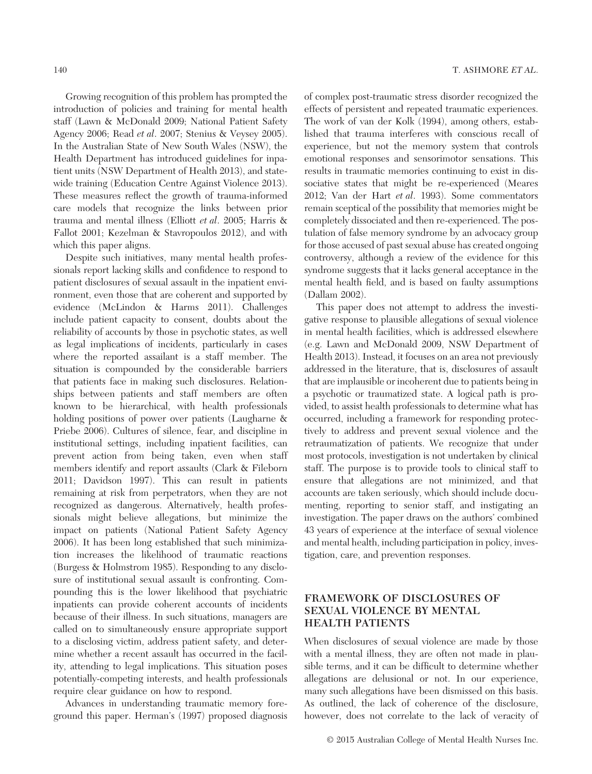Growing recognition of this problem has prompted the introduction of policies and training for mental health staff (Lawn & McDonald 2009; National Patient Safety Agency 2006; Read *et al*. 2007; Stenius & Veysey 2005). In the Australian State of New South Wales (NSW), the Health Department has introduced guidelines for inpatient units (NSW Department of Health 2013), and statewide training (Education Centre Against Violence 2013). These measures reflect the growth of trauma-informed care models that recognize the links between prior trauma and mental illness (Elliott *et al*. 2005; Harris & Fallot 2001; Kezelman & Stavropoulos 2012), and with which this paper aligns.

Despite such initiatives, many mental health professionals report lacking skills and confidence to respond to patient disclosures of sexual assault in the inpatient environment, even those that are coherent and supported by evidence (McLindon & Harms 2011). Challenges include patient capacity to consent, doubts about the reliability of accounts by those in psychotic states, as well as legal implications of incidents, particularly in cases where the reported assailant is a staff member. The situation is compounded by the considerable barriers that patients face in making such disclosures. Relationships between patients and staff members are often known to be hierarchical, with health professionals holding positions of power over patients (Laugharne & Priebe 2006). Cultures of silence, fear, and discipline in institutional settings, including inpatient facilities, can prevent action from being taken, even when staff members identify and report assaults (Clark & Fileborn 2011; Davidson 1997). This can result in patients remaining at risk from perpetrators, when they are not recognized as dangerous. Alternatively, health professionals might believe allegations, but minimize the impact on patients (National Patient Safety Agency 2006). It has been long established that such minimization increases the likelihood of traumatic reactions (Burgess & Holmstrom 1985). Responding to any disclosure of institutional sexual assault is confronting. Compounding this is the lower likelihood that psychiatric inpatients can provide coherent accounts of incidents because of their illness. In such situations, managers are called on to simultaneously ensure appropriate support to a disclosing victim, address patient safety, and determine whether a recent assault has occurred in the facility, attending to legal implications. This situation poses potentially-competing interests, and health professionals require clear guidance on how to respond.

Advances in understanding traumatic memory foreground this paper. Herman's (1997) proposed diagnosis of complex post-traumatic stress disorder recognized the effects of persistent and repeated traumatic experiences. The work of van der Kolk (1994), among others, established that trauma interferes with conscious recall of experience, but not the memory system that controls emotional responses and sensorimotor sensations. This results in traumatic memories continuing to exist in dissociative states that might be re-experienced (Meares 2012; Van der Hart *et al*. 1993). Some commentators remain sceptical of the possibility that memories might be completely dissociated and then re-experienced. The postulation of false memory syndrome by an advocacy group for those accused of past sexual abuse has created ongoing controversy, although a review of the evidence for this syndrome suggests that it lacks general acceptance in the mental health field, and is based on faulty assumptions (Dallam 2002).

This paper does not attempt to address the investigative response to plausible allegations of sexual violence in mental health facilities, which is addressed elsewhere (e.g. Lawn and McDonald 2009, NSW Department of Health 2013). Instead, it focuses on an area not previously addressed in the literature, that is, disclosures of assault that are implausible or incoherent due to patients being in a psychotic or traumatized state. A logical path is provided, to assist health professionals to determine what has occurred, including a framework for responding protectively to address and prevent sexual violence and the retraumatization of patients. We recognize that under most protocols, investigation is not undertaken by clinical staff. The purpose is to provide tools to clinical staff to ensure that allegations are not minimized, and that accounts are taken seriously, which should include documenting, reporting to senior staff, and instigating an investigation. The paper draws on the authors' combined 43 years of experience at the interface of sexual violence and mental health, including participation in policy, investigation, care, and prevention responses.

## **FRAMEWORK OF DISCLOSURES OF SEXUAL VIOLENCE BY MENTAL HEALTH PATIENTS**

When disclosures of sexual violence are made by those with a mental illness, they are often not made in plausible terms, and it can be difficult to determine whether allegations are delusional or not. In our experience, many such allegations have been dismissed on this basis. As outlined, the lack of coherence of the disclosure, however, does not correlate to the lack of veracity of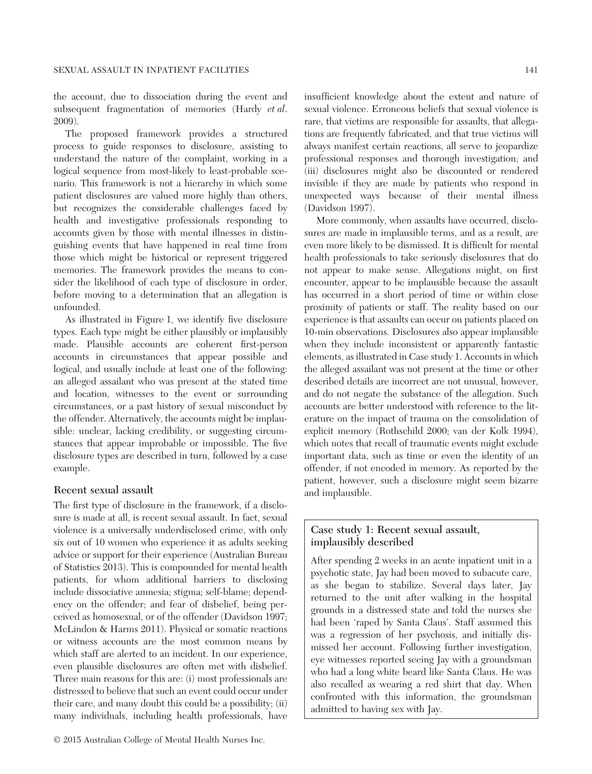the account, due to dissociation during the event and subsequent fragmentation of memories (Hardy *et al*. 2009).

The proposed framework provides a structured process to guide responses to disclosure, assisting to understand the nature of the complaint, working in a logical sequence from most-likely to least-probable scenario. This framework is not a hierarchy in which some patient disclosures are valued more highly than others, but recognizes the considerable challenges faced by health and investigative professionals responding to accounts given by those with mental illnesses in distinguishing events that have happened in real time from those which might be historical or represent triggered memories. The framework provides the means to consider the likelihood of each type of disclosure in order, before moving to a determination that an allegation is unfounded.

As illustrated in Figure 1, we identify five disclosure types. Each type might be either plausibly or implausibly made. Plausible accounts are coherent first-person accounts in circumstances that appear possible and logical, and usually include at least one of the following: an alleged assailant who was present at the stated time and location, witnesses to the event or surrounding circumstances, or a past history of sexual misconduct by the offender. Alternatively, the accounts might be implausible: unclear, lacking credibility, or suggesting circumstances that appear improbable or impossible. The five disclosure types are described in turn, followed by a case example.

#### **Recent sexual assault**

The first type of disclosure in the framework, if a disclosure is made at all, is recent sexual assault. In fact, sexual violence is a universally underdisclosed crime, with only six out of 10 women who experience it as adults seeking advice or support for their experience (Australian Bureau of Statistics 2013). This is compounded for mental health patients, for whom additional barriers to disclosing include dissociative amnesia; stigma; self-blame; dependency on the offender; and fear of disbelief, being perceived as homosexual, or of the offender (Davidson 1997; McLindon & Harms 2011). Physical or somatic reactions or witness accounts are the most common means by which staff are alerted to an incident. In our experience, even plausible disclosures are often met with disbelief. Three main reasons for this are: (i) most professionals are distressed to believe that such an event could occur under their care, and many doubt this could be a possibility; (ii) many individuals, including health professionals, have

insufficient knowledge about the extent and nature of sexual violence. Erroneous beliefs that sexual violence is rare, that victims are responsible for assaults, that allegations are frequently fabricated, and that true victims will always manifest certain reactions, all serve to jeopardize professional responses and thorough investigation; and (iii) disclosures might also be discounted or rendered invisible if they are made by patients who respond in unexpected ways because of their mental illness (Davidson 1997).

More commonly, when assaults have occurred, disclosures are made in implausible terms, and as a result, are even more likely to be dismissed. It is difficult for mental health professionals to take seriously disclosures that do not appear to make sense. Allegations might, on first encounter, appear to be implausible because the assault has occurred in a short period of time or within close proximity of patients or staff. The reality based on our experience is that assaults can occur on patients placed on 10-min observations. Disclosures also appear implausible when they include inconsistent or apparently fantastic elements, as illustrated in Case study 1. Accounts in which the alleged assailant was not present at the time or other described details are incorrect are not unusual, however, and do not negate the substance of the allegation. Such accounts are better understood with reference to the literature on the impact of trauma on the consolidation of explicit memory (Rothschild 2000; van der Kolk 1994), which notes that recall of traumatic events might exclude important data, such as time or even the identity of an offender, if not encoded in memory. As reported by the patient, however, such a disclosure might seem bizarre and implausible.

## **Case study 1: Recent sexual assault, implausibly described**

After spending 2 weeks in an acute inpatient unit in a psychotic state, Jay had been moved to subacute care, as she began to stabilize. Several days later, Jay returned to the unit after walking in the hospital grounds in a distressed state and told the nurses she had been 'raped by Santa Claus'. Staff assumed this was a regression of her psychosis, and initially dismissed her account. Following further investigation, eye witnesses reported seeing Jay with a groundsman who had a long white beard like Santa Claus. He was also recalled as wearing a red shirt that day. When confronted with this information, the groundsman admitted to having sex with Jay.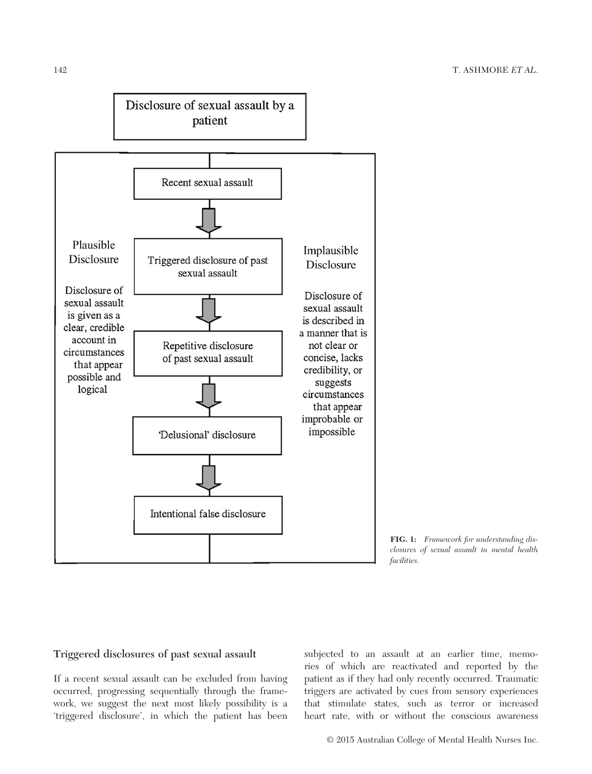



# **Triggered disclosures of past sexual assault**

If a recent sexual assault can be excluded from having occurred, progressing sequentially through the framework, we suggest the next most likely possibility is a 'triggered disclosure', in which the patient has been

subjected to an assault at an earlier time, memories of which are reactivated and reported by the patient as if they had only recently occurred. Traumatic triggers are activated by cues from sensory experiences that stimulate states, such as terror or increased heart rate, with or without the conscious awareness

© 2015 Australian College of Mental Health Nurses Inc.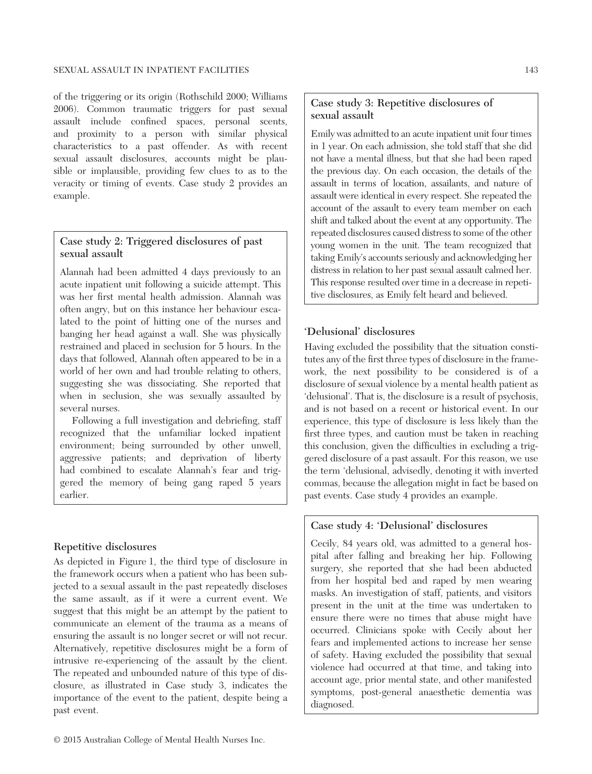of the triggering or its origin (Rothschild 2000; Williams 2006). Common traumatic triggers for past sexual assault include confined spaces, personal scents, and proximity to a person with similar physical characteristics to a past offender. As with recent sexual assault disclosures, accounts might be plausible or implausible, providing few clues to as to the veracity or timing of events. Case study 2 provides an example.

## **Case study 2: Triggered disclosures of past sexual assault**

Alannah had been admitted 4 days previously to an acute inpatient unit following a suicide attempt. This was her first mental health admission. Alannah was often angry, but on this instance her behaviour escalated to the point of hitting one of the nurses and banging her head against a wall. She was physically restrained and placed in seclusion for 5 hours. In the days that followed, Alannah often appeared to be in a world of her own and had trouble relating to others, suggesting she was dissociating. She reported that when in seclusion, she was sexually assaulted by several nurses.

Following a full investigation and debriefing, staff recognized that the unfamiliar locked inpatient environment; being surrounded by other unwell, aggressive patients; and deprivation of liberty had combined to escalate Alannah's fear and triggered the memory of being gang raped 5 years earlier.

## **Repetitive disclosures**

As depicted in Figure 1, the third type of disclosure in the framework occurs when a patient who has been subjected to a sexual assault in the past repeatedly discloses the same assault, as if it were a current event. We suggest that this might be an attempt by the patient to communicate an element of the trauma as a means of ensuring the assault is no longer secret or will not recur. Alternatively, repetitive disclosures might be a form of intrusive re-experiencing of the assault by the client. The repeated and unbounded nature of this type of disclosure, as illustrated in Case study 3, indicates the importance of the event to the patient, despite being a past event.

Emily was admitted to an acute inpatient unit four times in 1 year. On each admission, she told staff that she did not have a mental illness, but that she had been raped the previous day. On each occasion, the details of the assault in terms of location, assailants, and nature of assault were identical in every respect. She repeated the account of the assault to every team member on each shift and talked about the event at any opportunity. The repeated disclosures caused distress to some of the other young women in the unit. The team recognized that taking Emily's accounts seriously and acknowledging her distress in relation to her past sexual assault calmed her. This response resulted over time in a decrease in repetitive disclosures, as Emily felt heard and believed.

### **'Delusional' disclosures**

Having excluded the possibility that the situation constitutes any of the first three types of disclosure in the framework, the next possibility to be considered is of a disclosure of sexual violence by a mental health patient as 'delusional'. That is, the disclosure is a result of psychosis, and is not based on a recent or historical event. In our experience, this type of disclosure is less likely than the first three types, and caution must be taken in reaching this conclusion, given the difficulties in excluding a triggered disclosure of a past assault. For this reason, we use the term 'delusional, advisedly, denoting it with inverted commas, because the allegation might in fact be based on past events. Case study 4 provides an example.

# **Case study 4: 'Delusional' disclosures**

Cecily, 84 years old, was admitted to a general hospital after falling and breaking her hip. Following surgery, she reported that she had been abducted from her hospital bed and raped by men wearing masks. An investigation of staff, patients, and visitors present in the unit at the time was undertaken to ensure there were no times that abuse might have occurred. Clinicians spoke with Cecily about her fears and implemented actions to increase her sense of safety. Having excluded the possibility that sexual violence had occurred at that time, and taking into account age, prior mental state, and other manifested symptoms, post-general anaesthetic dementia was diagnosed.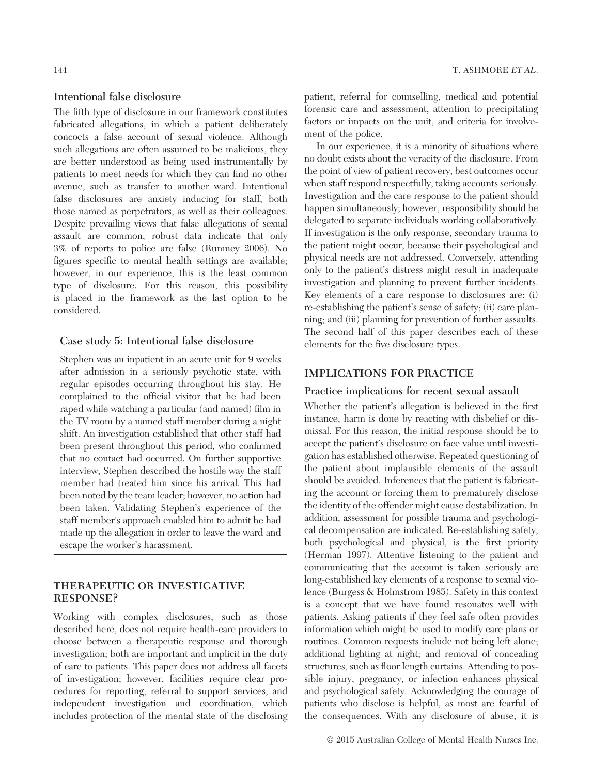### **Intentional false disclosure**

The fifth type of disclosure in our framework constitutes fabricated allegations, in which a patient deliberately concocts a false account of sexual violence. Although such allegations are often assumed to be malicious, they are better understood as being used instrumentally by patients to meet needs for which they can find no other avenue, such as transfer to another ward. Intentional false disclosures are anxiety inducing for staff, both those named as perpetrators, as well as their colleagues. Despite prevailing views that false allegations of sexual assault are common, robust data indicate that only 3% of reports to police are false (Rumney 2006). No figures specific to mental health settings are available; however, in our experience, this is the least common type of disclosure. For this reason, this possibility is placed in the framework as the last option to be considered.

## **Case study 5: Intentional false disclosure**

Stephen was an inpatient in an acute unit for 9 weeks after admission in a seriously psychotic state, with regular episodes occurring throughout his stay. He complained to the official visitor that he had been raped while watching a particular (and named) film in the TV room by a named staff member during a night shift. An investigation established that other staff had been present throughout this period, who confirmed that no contact had occurred. On further supportive interview, Stephen described the hostile way the staff member had treated him since his arrival. This had been noted by the team leader; however, no action had been taken. Validating Stephen's experience of the staff member's approach enabled him to admit he had made up the allegation in order to leave the ward and escape the worker's harassment.

## **THERAPEUTIC OR INVESTIGATIVE RESPONSE?**

Working with complex disclosures, such as those described here, does not require health-care providers to choose between a therapeutic response and thorough investigation; both are important and implicit in the duty of care to patients. This paper does not address all facets of investigation; however, facilities require clear procedures for reporting, referral to support services, and independent investigation and coordination, which includes protection of the mental state of the disclosing patient, referral for counselling, medical and potential forensic care and assessment, attention to precipitating factors or impacts on the unit, and criteria for involvement of the police.

In our experience, it is a minority of situations where no doubt exists about the veracity of the disclosure. From the point of view of patient recovery, best outcomes occur when staff respond respectfully, taking accounts seriously. Investigation and the care response to the patient should happen simultaneously; however, responsibility should be delegated to separate individuals working collaboratively. If investigation is the only response, secondary trauma to the patient might occur, because their psychological and physical needs are not addressed. Conversely, attending only to the patient's distress might result in inadequate investigation and planning to prevent further incidents. Key elements of a care response to disclosures are: (i) re-establishing the patient's sense of safety; (ii) care planning; and (iii) planning for prevention of further assaults. The second half of this paper describes each of these elements for the five disclosure types.

## **IMPLICATIONS FOR PRACTICE**

## **Practice implications for recent sexual assault**

Whether the patient's allegation is believed in the first instance, harm is done by reacting with disbelief or dismissal. For this reason, the initial response should be to accept the patient's disclosure on face value until investigation has established otherwise. Repeated questioning of the patient about implausible elements of the assault should be avoided. Inferences that the patient is fabricating the account or forcing them to prematurely disclose the identity of the offender might cause destabilization. In addition, assessment for possible trauma and psychological decompensation are indicated. Re-establishing safety, both psychological and physical, is the first priority (Herman 1997). Attentive listening to the patient and communicating that the account is taken seriously are long-established key elements of a response to sexual violence (Burgess & Holmstrom 1985). Safety in this context is a concept that we have found resonates well with patients. Asking patients if they feel safe often provides information which might be used to modify care plans or routines. Common requests include not being left alone; additional lighting at night; and removal of concealing structures, such as floor length curtains. Attending to possible injury, pregnancy, or infection enhances physical and psychological safety. Acknowledging the courage of patients who disclose is helpful, as most are fearful of the consequences. With any disclosure of abuse, it is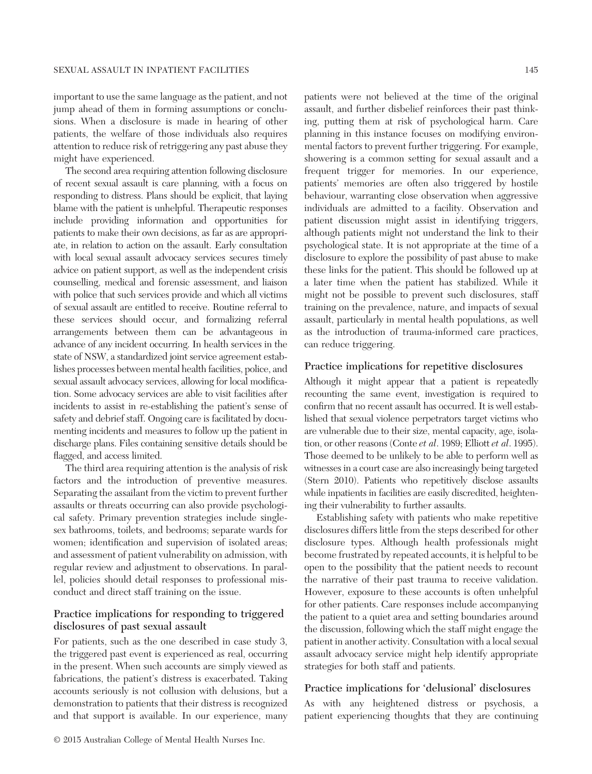important to use the same language as the patient, and not jump ahead of them in forming assumptions or conclusions. When a disclosure is made in hearing of other patients, the welfare of those individuals also requires attention to reduce risk of retriggering any past abuse they might have experienced.

The second area requiring attention following disclosure of recent sexual assault is care planning, with a focus on responding to distress. Plans should be explicit, that laying blame with the patient is unhelpful. Therapeutic responses include providing information and opportunities for patients to make their own decisions, as far as are appropriate, in relation to action on the assault. Early consultation with local sexual assault advocacy services secures timely advice on patient support, as well as the independent crisis counselling, medical and forensic assessment, and liaison with police that such services provide and which all victims of sexual assault are entitled to receive. Routine referral to these services should occur, and formalizing referral arrangements between them can be advantageous in advance of any incident occurring. In health services in the state of NSW, a standardized joint service agreement establishes processes between mental health facilities, police, and sexual assault advocacy services, allowing for local modification. Some advocacy services are able to visit facilities after incidents to assist in re-establishing the patient's sense of safety and debrief staff. Ongoing care is facilitated by documenting incidents and measures to follow up the patient in discharge plans. Files containing sensitive details should be flagged, and access limited.

The third area requiring attention is the analysis of risk factors and the introduction of preventive measures. Separating the assailant from the victim to prevent further assaults or threats occurring can also provide psychological safety. Primary prevention strategies include singlesex bathrooms, toilets, and bedrooms; separate wards for women; identification and supervision of isolated areas; and assessment of patient vulnerability on admission, with regular review and adjustment to observations. In parallel, policies should detail responses to professional misconduct and direct staff training on the issue.

## **Practice implications for responding to triggered disclosures of past sexual assault**

For patients, such as the one described in case study 3, the triggered past event is experienced as real, occurring in the present. When such accounts are simply viewed as fabrications, the patient's distress is exacerbated. Taking accounts seriously is not collusion with delusions, but a demonstration to patients that their distress is recognized and that support is available. In our experience, many

patients were not believed at the time of the original assault, and further disbelief reinforces their past thinking, putting them at risk of psychological harm. Care planning in this instance focuses on modifying environmental factors to prevent further triggering. For example, showering is a common setting for sexual assault and a frequent trigger for memories. In our experience, patients' memories are often also triggered by hostile behaviour, warranting close observation when aggressive individuals are admitted to a facility. Observation and patient discussion might assist in identifying triggers, although patients might not understand the link to their psychological state. It is not appropriate at the time of a disclosure to explore the possibility of past abuse to make these links for the patient. This should be followed up at a later time when the patient has stabilized. While it might not be possible to prevent such disclosures, staff training on the prevalence, nature, and impacts of sexual assault, particularly in mental health populations, as well as the introduction of trauma-informed care practices, can reduce triggering.

#### **Practice implications for repetitive disclosures**

Although it might appear that a patient is repeatedly recounting the same event, investigation is required to confirm that no recent assault has occurred. It is well established that sexual violence perpetrators target victims who are vulnerable due to their size, mental capacity, age, isolation, or other reasons (Conte *et al*. 1989; Elliott *et al*. 1995). Those deemed to be unlikely to be able to perform well as witnesses in a court case are also increasingly being targeted (Stern 2010). Patients who repetitively disclose assaults while inpatients in facilities are easily discredited, heightening their vulnerability to further assaults.

Establishing safety with patients who make repetitive disclosures differs little from the steps described for other disclosure types. Although health professionals might become frustrated by repeated accounts, it is helpful to be open to the possibility that the patient needs to recount the narrative of their past trauma to receive validation. However, exposure to these accounts is often unhelpful for other patients. Care responses include accompanying the patient to a quiet area and setting boundaries around the discussion, following which the staff might engage the patient in another activity. Consultation with a local sexual assault advocacy service might help identify appropriate strategies for both staff and patients.

## **Practice implications for 'delusional' disclosures**

As with any heightened distress or psychosis, a patient experiencing thoughts that they are continuing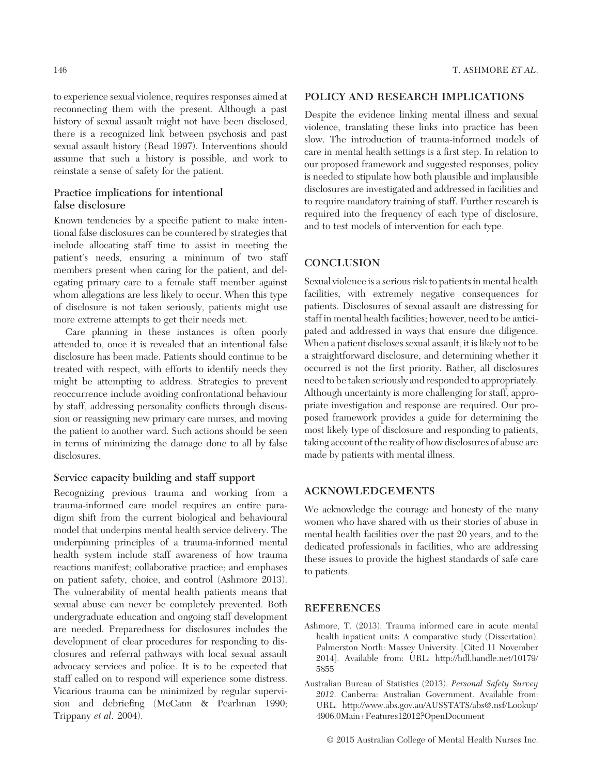to experience sexual violence, requires responses aimed at reconnecting them with the present. Although a past history of sexual assault might not have been disclosed, there is a recognized link between psychosis and past sexual assault history (Read 1997). Interventions should assume that such a history is possible, and work to reinstate a sense of safety for the patient.

## **Practice implications for intentional false disclosure**

Known tendencies by a specific patient to make intentional false disclosures can be countered by strategies that include allocating staff time to assist in meeting the patient's needs, ensuring a minimum of two staff members present when caring for the patient, and delegating primary care to a female staff member against whom allegations are less likely to occur. When this type of disclosure is not taken seriously, patients might use more extreme attempts to get their needs met.

Care planning in these instances is often poorly attended to, once it is revealed that an intentional false disclosure has been made. Patients should continue to be treated with respect, with efforts to identify needs they might be attempting to address. Strategies to prevent reoccurrence include avoiding confrontational behaviour by staff, addressing personality conflicts through discussion or reassigning new primary care nurses, and moving the patient to another ward. Such actions should be seen in terms of minimizing the damage done to all by false disclosures.

## **Service capacity building and staff support**

Recognizing previous trauma and working from a trauma-informed care model requires an entire paradigm shift from the current biological and behavioural model that underpins mental health service delivery. The underpinning principles of a trauma-informed mental health system include staff awareness of how trauma reactions manifest; collaborative practice; and emphases on patient safety, choice, and control (Ashmore 2013). The vulnerability of mental health patients means that sexual abuse can never be completely prevented. Both undergraduate education and ongoing staff development are needed. Preparedness for disclosures includes the development of clear procedures for responding to disclosures and referral pathways with local sexual assault advocacy services and police. It is to be expected that staff called on to respond will experience some distress. Vicarious trauma can be minimized by regular supervision and debriefing (McCann & Pearlman 1990; Trippany *et al*. 2004).

# **POLICY AND RESEARCH IMPLICATIONS**

Despite the evidence linking mental illness and sexual violence, translating these links into practice has been slow. The introduction of trauma-informed models of care in mental health settings is a first step. In relation to our proposed framework and suggested responses, policy is needed to stipulate how both plausible and implausible disclosures are investigated and addressed in facilities and to require mandatory training of staff. Further research is required into the frequency of each type of disclosure, and to test models of intervention for each type.

## **CONCLUSION**

Sexual violence is a serious risk to patients in mental health facilities, with extremely negative consequences for patients. Disclosures of sexual assault are distressing for staff in mental health facilities; however, need to be anticipated and addressed in ways that ensure due diligence. When a patient discloses sexual assault, it is likely not to be a straightforward disclosure, and determining whether it occurred is not the first priority. Rather, all disclosures need to be taken seriously and responded to appropriately. Although uncertainty is more challenging for staff, appropriate investigation and response are required. Our proposed framework provides a guide for determining the most likely type of disclosure and responding to patients, taking account of the reality of how disclosures of abuse are made by patients with mental illness.

## **ACKNOWLEDGEMENTS**

We acknowledge the courage and honesty of the many women who have shared with us their stories of abuse in mental health facilities over the past 20 years, and to the dedicated professionals in facilities, who are addressing these issues to provide the highest standards of safe care to patients.

#### **REFERENCES**

- Ashmore, T. (2013). Trauma informed care in acute mental health inpatient units: A comparative study (Dissertation). Palmerston North: Massey University. [Cited 11 November 2014]. Available from: URL: [http://hdl.handle.net/10179/](http://hdl.handle.net/10179/5855) [5855](http://hdl.handle.net/10179/5855)
- Australian Bureau of Statistics (2013). *Personal Safety Survey 2012*. Canberra: Australian Government. Available from: URL: [http://www.abs.gov.au/AUSSTATS/abs@.nsf/Lookup/](http://www.abs.gov.au/AUSSTATS/abs@.nsf/Lookup/4906.0Main+Features12012?OpenDocument) [4906.0Main+Features12012?OpenDocument](http://www.abs.gov.au/AUSSTATS/abs@.nsf/Lookup/4906.0Main+Features12012?OpenDocument)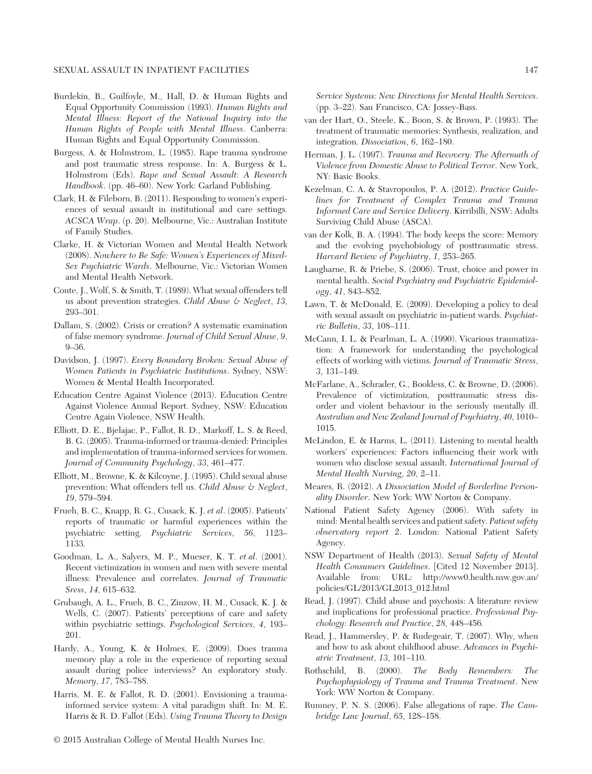#### SEXUAL ASSAULT IN INPATIENT FACILITIES 147

- Burdekin, B., Guilfoyle, M., Hall, D. & Human Rights and Equal Opportunity Commission (1993). *Human Rights and Mental Illness: Report of the National Inquiry into the Human Rights of People with Mental Illness*. Canberra: Human Rights and Equal Opportunity Commission.
- Burgess, A. & Holmstrom, L. (1985). Rape trauma syndrome and post traumatic stress response. In: A. Burgess & L. Holmstrom (Eds). *Rape and Sexual Assault: A Research Handbook*. (pp. 46–60). New York: Garland Publishing.
- Clark, H. & Fileborn, B. (2011). Responding to women's experiences of sexual assault in institutional and care settings. *ACSCA Wrap*. (p. 20). Melbourne, Vic.: Australian Institute of Family Studies.
- Clarke, H. & Victorian Women and Mental Health Network (2008). *Nowhere to Be Safe: Women's Experiences of Mixed-Sex Psychiatric Wards*. Melbourne, Vic.: Victorian Women and Mental Health Network.
- Conte, J., Wolf, S. & Smith, T. (1989). What sexual offenders tell us about prevention strategies. *Child Abuse & Neglect*, *13*, 293–301.
- Dallam, S. (2002). Crisis or creation? A systematic examination of false memory syndrome. *Journal of Child Sexual Abuse*, *9*, 9–36.
- Davidson, J. (1997). *Every Boundary Broken: Sexual Abuse of Women Patients in Psychiatric Institutions*. Sydney, NSW: Women & Mental Health Incorporated.
- Education Centre Against Violence (2013). Education Centre Against Violence Annual Report. Sydney, NSW: Education Centre Again Violence, NSW Health.
- Elliott, D. E., Bjelajac, P., Fallot, R. D., Markoff, L. S. & Reed, B. G. (2005). Trauma-informed or trauma-denied: Principles and implementation of trauma-informed services for women. *Journal of Community Psychology*, *33*, 461–477.
- Elliott, M., Browne, K. & Kilcoyne, J. (1995). Child sexual abuse prevention: What offenders tell us. *Child Abuse & Neglect*, *19*, 579–594.
- Frueh, B. C., Knapp, R. G., Cusack, K. J. *et al*. (2005). Patients' reports of traumatic or harmful experiences within the psychiatric setting. *Psychiatric Services*, *56*, 1123– 1133.
- Goodman, L. A., Salyers, M. P., Mueser, K. T. *et al*. (2001). Recent victimization in women and men with severe mental illness: Prevalence and correlates. *Journal of Traumatic Sress*, *14*, 615–632.
- Grubaugh, A. L., Frueh, B. C., Zinzow, H. M., Cusack, K. J. & Wells, C. (2007). Patients' perceptions of care and safety within psychiatric settings. *Psychological Services*, *4*, 193– 201.
- Hardy, A., Young, K. & Holmes, E. (2009). Does trauma memory play a role in the experience of reporting sexual assault during police interviews? An exploratory study. *Memory*, *17*, 783–788.
- Harris, M. E. & Fallot, R. D. (2001). Envisioning a traumainformed service system: A vital paradigm shift. In: M. E. Harris & R. D. Fallot (Eds). *Using Trauma Theory to Design*

*Service Systems: New Directions for Mental Health Services*. (pp. 3–22). San Francisco, CA: Jossey-Bass.

- van der Hart, O., Steele, K., Boon, S. & Brown, P. (1993). The treatment of traumatic memories: Synthesis, realization, and integration. *Dissociation*, *6*, 162–180.
- Herman, J. L. (1997). *Trauma and Recovery: The Aftermath of Violence from Domestic Abuse to Political Terror*. New York, NY: Basic Books.
- Kezelman, C. A. & Stavropoulos, P. A. (2012). *Practice Guidelines for Treatment of Complex Trauma and Trauma Informed Care and Service Delivery*. Kirribilli, NSW: Adults Surviving Child Abuse (ASCA).
- van der Kolk, B. A. (1994). The body keeps the score: Memory and the evolving psychobiology of posttraumatic stress. *Harvard Review of Psychiatry*, *1*, 253–265.
- Laugharne, R. & Priebe, S. (2006). Trust, choice and power in mental health. *Social Psychiatry and Psychiatric Epidemiology*, *41*, 843–852.
- Lawn, T. & McDonald, E. (2009). Developing a policy to deal with sexual assault on psychiatric in-patient wards. *Psychiatric Bulletin*, *33*, 108–111.
- McCann, I. L. & Pearlman, L. A. (1990). Vicarious traumatization: A framework for understanding the psychological effects of working with victims. *Journal of Traumatic Stress*, *3*, 131–149.
- McFarlane, A., Schrader, G., Bookless, C. & Browne, D. (2006). Prevalence of victimization, posttraumatic stress disorder and violent behaviour in the seriously mentally ill. *Australian and New Zealand Journal of Psychiatry*, *40*, 1010– 1015.
- McLindon, E. & Harms, L. (2011). Listening to mental health workers' experiences: Factors influencing their work with women who disclose sexual assault. *International Journal of Mental Health Nursing*, *20*, 2–11.
- Meares, R. (2012). *A Dissociation Model of Borderline Personality Disorder*. New York: WW Norton & Company.
- National Patient Safety Agency (2006). With safety in mind: Mental health services and patient safety. *Patient safety observatory report 2*. London: National Patient Safety Agency.
- NSW Department of Health (2013). *Sexual Safety of Mental Health Consumers Guidelines*. [Cited 12 November 2013]. Available from: URL: [http://www0.health.nsw.gov.au/](http://www0.health.nsw.gov.au/policies/GL/2013/GL2013_012.html) [policies/GL/2013/GL2013\\_012.html](http://www0.health.nsw.gov.au/policies/GL/2013/GL2013_012.html)
- Read, J. (1997). Child abuse and psychosis: A literature review and implications for professional practice. *Professional Psychology: Research and Practice*, *28*, 448–456.
- Read, J., Hammersley, P. & Rudegeair, T. (2007). Why, when and how to ask about childhood abuse. *Advances in Psychiatric Treatment*, *13*, 101–110.
- Rothschild, B. (2000). *The Body Remembers: The Psychophysiology of Trauma and Trauma Treatment*. New York: WW Norton & Company.
- Rumney, P. N. S. (2006). False allegations of rape. *The Cambridge Law Journal*, *65*, 128–158.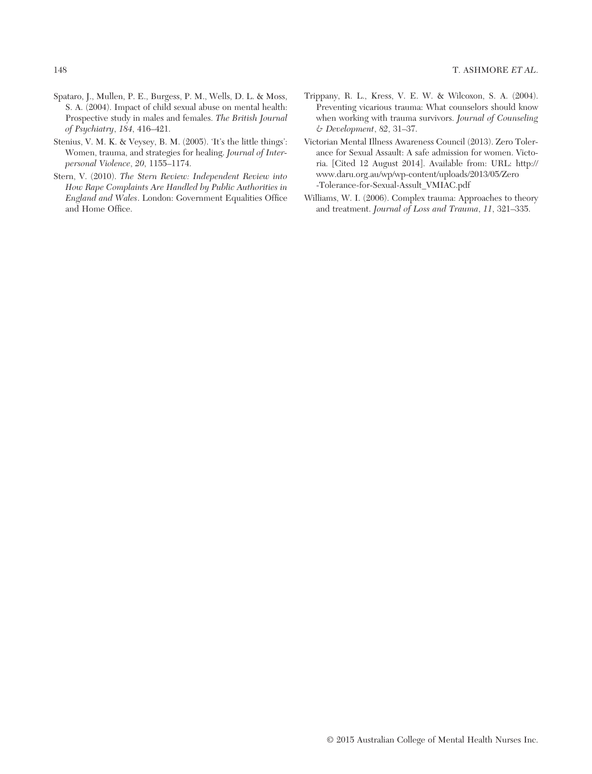- Spataro, J., Mullen, P. E., Burgess, P. M., Wells, D. L. & Moss, S. A. (2004). Impact of child sexual abuse on mental health: Prospective study in males and females. *The British Journal of Psychiatry*, *184*, 416–421.
- Stenius, V. M. K. & Veysey, B. M. (2005). 'It's the little things': Women, trauma, and strategies for healing. *Journal of Interpersonal Violence*, *20*, 1155–1174.
- Stern, V. (2010). *The Stern Review: Independent Review into How Rape Complaints Are Handled by Public Authorities in England and Wales*. London: Government Equalities Office and Home Office.
- Trippany, R. L., Kress, V. E. W. & Wilcoxon, S. A. (2004). Preventing vicarious trauma: What counselors should know when working with trauma survivors. *Journal of Counseling & Development*, *82*, 31–37.
- Victorian Mental Illness Awareness Council (2013). Zero Tolerance for Sexual Assault: A safe admission for women. Victoria. [Cited 12 August 2014]. Available from: URL: [http://](http://www.daru.org.au/wp/wp-content/uploads/2013/05/Zero-Tolerance-for-Sexual-Assult_VMIAC.pdf) [www.daru.org.au/wp/wp-content/uploads/2013/05/Zero](http://www.daru.org.au/wp/wp-content/uploads/2013/05/Zero-Tolerance-for-Sexual-Assult_VMIAC.pdf) [-Tolerance-for-Sexual-Assult\\_VMIAC.pdf](http://www.daru.org.au/wp/wp-content/uploads/2013/05/Zero-Tolerance-for-Sexual-Assult_VMIAC.pdf)
- Williams, W. I. (2006). Complex trauma: Approaches to theory and treatment. *Journal of Loss and Trauma*, *11*, 321–335.